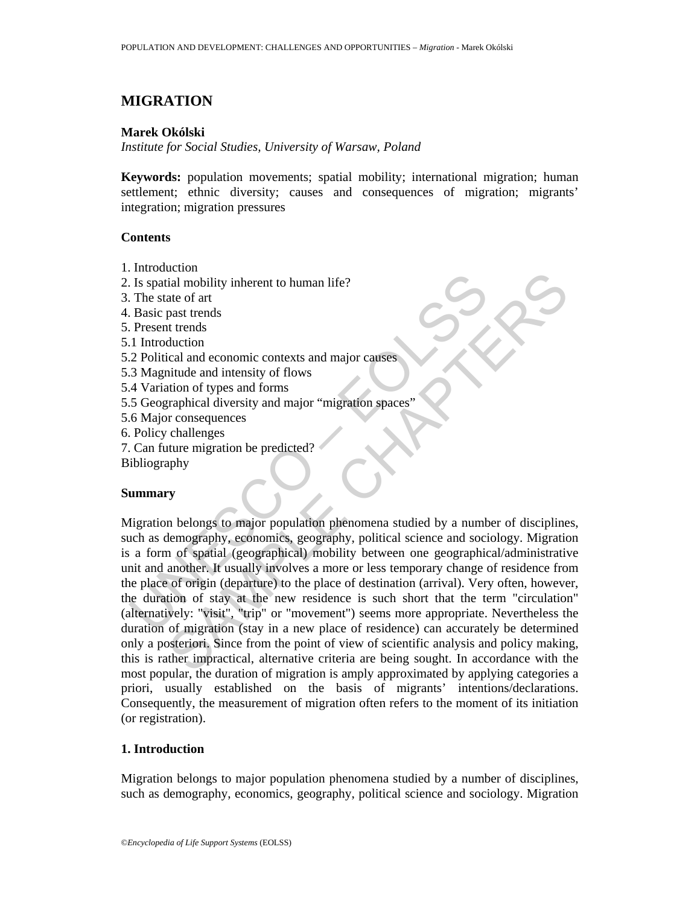# **MIGRATION**

## **Marek Okólski**

*Institute for Social Studies, University of Warsaw, Poland* 

**Keywords:** population movements; spatial mobility; international migration; human settlement; ethnic diversity; causes and consequences of migration; migrants' integration; migration pressures

## **Contents**

- 1. Introduction
- 2. Is spatial mobility inherent to human life?
- 3. The state of art
- 4. Basic past trends
- 5. Present trends
- 5.1 Introduction
- 5.2 Political and economic contexts and major causes
- 5.3 Magnitude and intensity of flows
- 5.4 Variation of types and forms
- 5.5 Geographical diversity and major "migration spaces"
- 5.6 Major consequences
- 6. Policy challenges
- 7. Can future migration be predicted?
- Bibliography

### **Summary**

Is spatial mobility inherent to human life?<br>
The state of art<br>
Basic past trends<br>
Present trends<br>
1. Introduction<br>
1.2 Political and economic contexts and major causes<br>
1. Introduction<br>
2. Political and economic contexts a Contains and comomic contexts and major causes<br>
and mobility inherent to human life?<br>
ate of art<br>
ate of art<br>
the trends<br>
the trends<br>
the trends<br>
the dual comomic contexts and major causes<br>
the trends<br>
time of types and fo Migration belongs to major population phenomena studied by a number of disciplines, such as demography, economics, geography, political science and sociology. Migration is a form of spatial (geographical) mobility between one geographical/administrative unit and another. It usually involves a more or less temporary change of residence from the place of origin (departure) to the place of destination (arrival). Very often, however, the duration of stay at the new residence is such short that the term "circulation" (alternatively: "visit", "trip" or "movement") seems more appropriate. Nevertheless the duration of migration (stay in a new place of residence) can accurately be determined only a posteriori. Since from the point of view of scientific analysis and policy making, this is rather impractical, alternative criteria are being sought. In accordance with the most popular, the duration of migration is amply approximated by applying categories a priori, usually established on the basis of migrants' intentions/declarations. Consequently, the measurement of migration often refers to the moment of its initiation (or registration).

# **1. Introduction**

Migration belongs to major population phenomena studied by a number of disciplines, such as demography, economics, geography, political science and sociology. Migration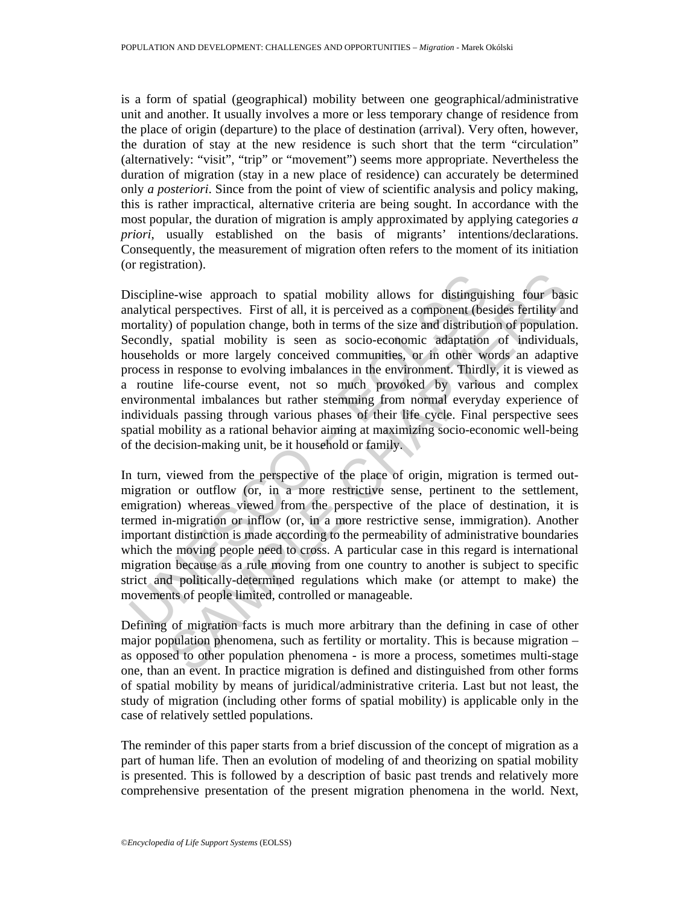is a form of spatial (geographical) mobility between one geographical/administrative unit and another. It usually involves a more or less temporary change of residence from the place of origin (departure) to the place of destination (arrival). Very often, however, the duration of stay at the new residence is such short that the term "circulation" (alternatively: "visit", "trip" or "movement") seems more appropriate. Nevertheless the duration of migration (stay in a new place of residence) can accurately be determined only *a posteriori*. Since from the point of view of scientific analysis and policy making, this is rather impractical, alternative criteria are being sought. In accordance with the most popular, the duration of migration is amply approximated by applying categories *a priori*, usually established on the basis of migrants' intentions/declarations. Consequently, the measurement of migration often refers to the moment of its initiation (or registration).

iscipline-wise approach to spatial mobility allows for distinguis<br>analytical perspectives. First of all, it is perceived as a component (be-<br>orotality) of population change, both in terms of the size and distributie<br>econdl al perspectives. First of all, it is perceived as a component (besides fertility and perspectives. First of all, it is perceived as a component (besides fertility an (a) of population change, both in terms of the size and Discipline-wise approach to spatial mobility allows for distinguishing four basic analytical perspectives. First of all, it is perceived as a component (besides fertility and mortality) of population change, both in terms of the size and distribution of population. Secondly, spatial mobility is seen as socio-economic adaptation of individuals, households or more largely conceived communities, or in other words an adaptive process in response to evolving imbalances in the environment. Thirdly, it is viewed as a routine life-course event, not so much provoked by various and complex environmental imbalances but rather stemming from normal everyday experience of individuals passing through various phases of their life cycle. Final perspective sees spatial mobility as a rational behavior aiming at maximizing socio-economic well-being of the decision-making unit, be it household or family.

In turn, viewed from the perspective of the place of origin, migration is termed outmigration or outflow (or, in a more restrictive sense, pertinent to the settlement, emigration) whereas viewed from the perspective of the place of destination, it is termed in-migration or inflow (or, in a more restrictive sense, immigration). Another important distinction is made according to the permeability of administrative boundaries which the moving people need to cross. A particular case in this regard is international migration because as a rule moving from one country to another is subject to specific strict and politically-determined regulations which make (or attempt to make) the movements of people limited, controlled or manageable.

Defining of migration facts is much more arbitrary than the defining in case of other major population phenomena, such as fertility or mortality. This is because migration – as opposed to other population phenomena - is more a process, sometimes multi-stage one, than an event. In practice migration is defined and distinguished from other forms of spatial mobility by means of juridical/administrative criteria. Last but not least, the study of migration (including other forms of spatial mobility) is applicable only in the case of relatively settled populations.

The reminder of this paper starts from a brief discussion of the concept of migration as a part of human life. Then an evolution of modeling of and theorizing on spatial mobility is presented. This is followed by a description of basic past trends and relatively more comprehensive presentation of the present migration phenomena in the world. Next,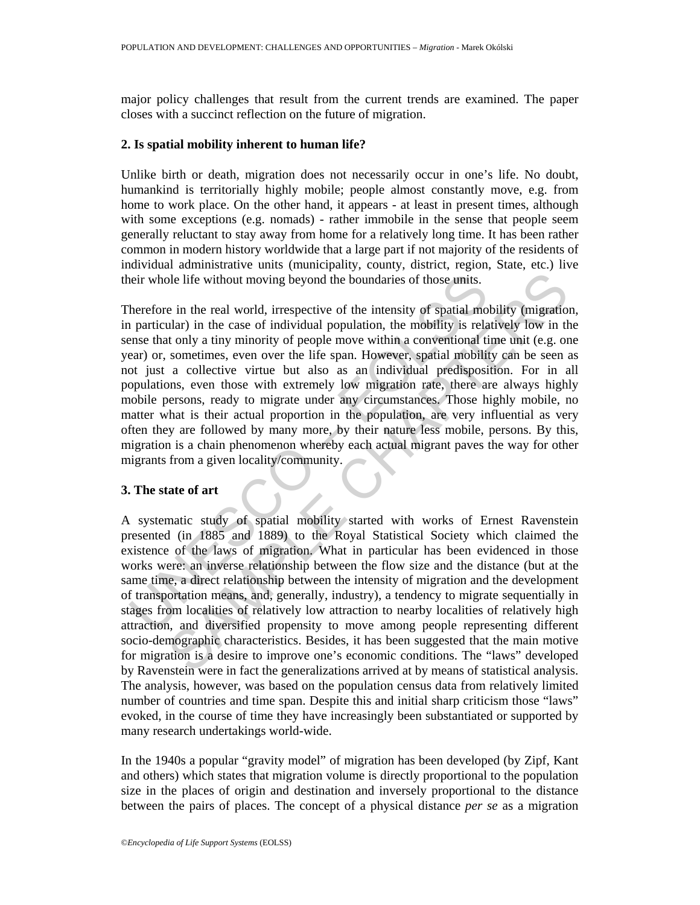major policy challenges that result from the current trends are examined. The paper closes with a succinct reflection on the future of migration.

### **2. Is spatial mobility inherent to human life?**

Unlike birth or death, migration does not necessarily occur in one's life. No doubt, humankind is territorially highly mobile; people almost constantly move, e.g. from home to work place. On the other hand, it appears - at least in present times, although with some exceptions (e.g. nomads) - rather immobile in the sense that people seem generally reluctant to stay away from home for a relatively long time. It has been rather common in modern history worldwide that a large part if not majority of the residents of individual administrative units (municipality, county, district, region, State, etc.) live their whole life without moving beyond the boundaries of those units.

eir whole life without moving beyond the boundaries of those units.<br>
herefore in the real world, irrespective of the intensity of spatial mo<br>
n particular) in the case of individual population, the mobility is rela<br>
eners ble life without moving beyond the boundaries of those units.<br>
in the real world, irrespective of the intensity of spatial mobility (migration<br>
ular) in the case of individual population, the mobility is relatively low in Therefore in the real world, irrespective of the intensity of spatial mobility (migration, in particular) in the case of individual population, the mobility is relatively low in the sense that only a tiny minority of people move within a conventional time unit (e.g. one year) or, sometimes, even over the life span. However, spatial mobility can be seen as not just a collective virtue but also as an individual predisposition. For in all populations, even those with extremely low migration rate, there are always highly mobile persons, ready to migrate under any circumstances. Those highly mobile, no matter what is their actual proportion in the population, are very influential as very often they are followed by many more, by their nature less mobile, persons. By this, migration is a chain phenomenon whereby each actual migrant paves the way for other migrants from a given locality/community.

# **3. The state of art**

A systematic study of spatial mobility started with works of Ernest Ravenstein presented (in 1885 and 1889) to the Royal Statistical Society which claimed the existence of the laws of migration. What in particular has been evidenced in those works were: an inverse relationship between the flow size and the distance (but at the same time, a direct relationship between the intensity of migration and the development of transportation means, and, generally, industry), a tendency to migrate sequentially in stages from localities of relatively low attraction to nearby localities of relatively high attraction, and diversified propensity to move among people representing different socio-demographic characteristics. Besides, it has been suggested that the main motive for migration is a desire to improve one's economic conditions. The "laws" developed by Ravenstein were in fact the generalizations arrived at by means of statistical analysis. The analysis, however, was based on the population census data from relatively limited number of countries and time span. Despite this and initial sharp criticism those "laws" evoked, in the course of time they have increasingly been substantiated or supported by many research undertakings world-wide.

In the 1940s a popular "gravity model" of migration has been developed (by Zipf, Kant and others) which states that migration volume is directly proportional to the population size in the places of origin and destination and inversely proportional to the distance between the pairs of places. The concept of a physical distance *per se* as a migration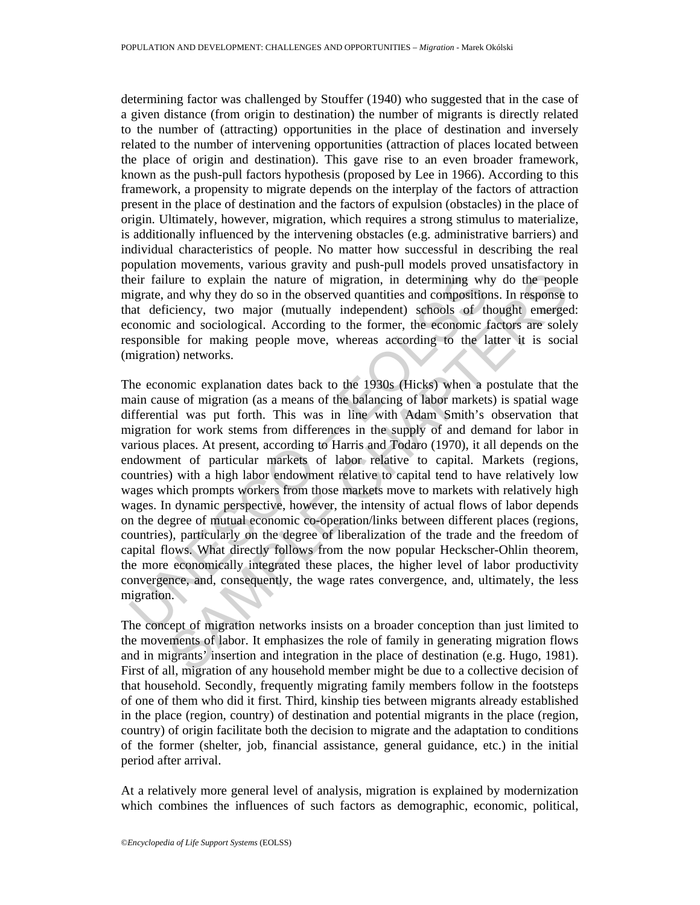determining factor was challenged by Stouffer (1940) who suggested that in the case of a given distance (from origin to destination) the number of migrants is directly related to the number of (attracting) opportunities in the place of destination and inversely related to the number of intervening opportunities (attraction of places located between the place of origin and destination). This gave rise to an even broader framework, known as the push-pull factors hypothesis (proposed by Lee in 1966). According to this framework, a propensity to migrate depends on the interplay of the factors of attraction present in the place of destination and the factors of expulsion (obstacles) in the place of origin. Ultimately, however, migration, which requires a strong stimulus to materialize, is additionally influenced by the intervening obstacles (e.g. administrative barriers) and individual characteristics of people. No matter how successful in describing the real population movements, various gravity and push-pull models proved unsatisfactory in their failure to explain the nature of migration, in determining why do the people migrate, and why they do so in the observed quantities and compositions. In response to that deficiency, two major (mutually independent) schools of thought emerged: economic and sociological. According to the former, the economic factors are solely responsible for making people move, whereas according to the latter it is social (migration) networks.

eir failure to explain the nature of migration, in determining wh<br>igrate, and why they do so in the observed quantities and composition<br>conomic and sociological. According to the former, the economic formolic and corologic lure to explain the nature of migration, in determining why do the peoplemental why they do so in the observed quantities and compositions. In response to eincompropertionely, two major (mutually independent) schools of th The economic explanation dates back to the 1930s (Hicks) when a postulate that the main cause of migration (as a means of the balancing of labor markets) is spatial wage differential was put forth. This was in line with Adam Smith's observation that migration for work stems from differences in the supply of and demand for labor in various places. At present, according to Harris and Todaro (1970), it all depends on the endowment of particular markets of labor relative to capital. Markets (regions, countries) with a high labor endowment relative to capital tend to have relatively low wages which prompts workers from those markets move to markets with relatively high wages. In dynamic perspective, however, the intensity of actual flows of labor depends on the degree of mutual economic co-operation/links between different places (regions, countries), particularly on the degree of liberalization of the trade and the freedom of capital flows. What directly follows from the now popular Heckscher-Ohlin theorem, the more economically integrated these places, the higher level of labor productivity convergence, and, consequently, the wage rates convergence, and, ultimately, the less migration.

The concept of migration networks insists on a broader conception than just limited to the movements of labor. It emphasizes the role of family in generating migration flows and in migrants' insertion and integration in the place of destination (e.g. Hugo, 1981). First of all, migration of any household member might be due to a collective decision of that household. Secondly, frequently migrating family members follow in the footsteps of one of them who did it first. Third, kinship ties between migrants already established in the place (region, country) of destination and potential migrants in the place (region, country) of origin facilitate both the decision to migrate and the adaptation to conditions of the former (shelter, job, financial assistance, general guidance, etc.) in the initial period after arrival.

At a relatively more general level of analysis, migration is explained by modernization which combines the influences of such factors as demographic, economic, political,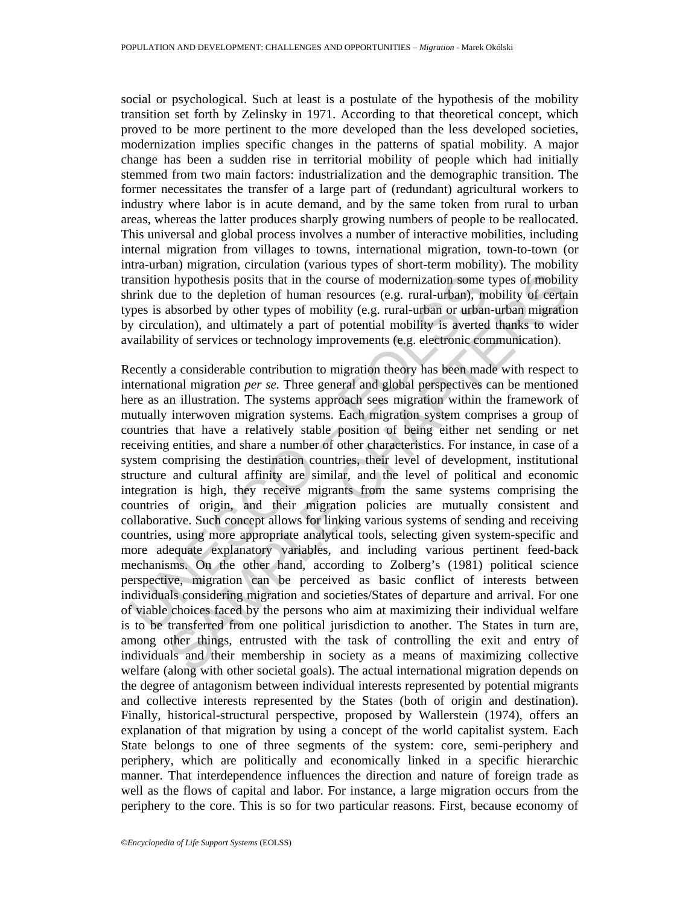social or psychological. Such at least is a postulate of the hypothesis of the mobility transition set forth by Zelinsky in 1971. According to that theoretical concept, which proved to be more pertinent to the more developed than the less developed societies, modernization implies specific changes in the patterns of spatial mobility. A major change has been a sudden rise in territorial mobility of people which had initially stemmed from two main factors: industrialization and the demographic transition. The former necessitates the transfer of a large part of (redundant) agricultural workers to industry where labor is in acute demand, and by the same token from rural to urban areas, whereas the latter produces sharply growing numbers of people to be reallocated. This universal and global process involves a number of interactive mobilities, including internal migration from villages to towns, international migration, town-to-town (or intra-urban) migration, circulation (various types of short-term mobility). The mobility transition hypothesis posits that in the course of modernization some types of mobility shrink due to the depletion of human resources (e.g. rural-urban), mobility of certain types is absorbed by other types of mobility (e.g. rural-urban or urban-urban migration by circulation), and ultimately a part of potential mobility is averted thanks to wider availability of services or technology improvements (e.g. electronic communication).

ansition hypothesis posits that in the course of modernization some trink due to the depletion of human resources (e.g. rural-urban), meas is absorbed by other types of mobility (e.g. rural-urban or urban y circulation), a h phyothesis posits that in the course of modernization some types of mobilities to to the depletion of hunan resources (e.g. rural-urban), mobility of certain taiworbed by other types of mobility (e.g. rural-urban), mobi Recently a considerable contribution to migration theory has been made with respect to international migration *per se.* Three general and global perspectives can be mentioned here as an illustration. The systems approach sees migration within the framework of mutually interwoven migration systems. Each migration system comprises a group of countries that have a relatively stable position of being either net sending or net receiving entities, and share a number of other characteristics. For instance, in case of a system comprising the destination countries, their level of development, institutional structure and cultural affinity are similar, and the level of political and economic integration is high, they receive migrants from the same systems comprising the countries of origin, and their migration policies are mutually consistent and collaborative. Such concept allows for linking various systems of sending and receiving countries, using more appropriate analytical tools, selecting given system-specific and more adequate explanatory variables, and including various pertinent feed-back mechanisms. On the other hand, according to Zolberg's (1981) political science perspective, migration can be perceived as basic conflict of interests between individuals considering migration and societies/States of departure and arrival. For one of viable choices faced by the persons who aim at maximizing their individual welfare is to be transferred from one political jurisdiction to another. The States in turn are, among other things, entrusted with the task of controlling the exit and entry of individuals and their membership in society as a means of maximizing collective welfare (along with other societal goals). The actual international migration depends on the degree of antagonism between individual interests represented by potential migrants and collective interests represented by the States (both of origin and destination). Finally, historical-structural perspective, proposed by Wallerstein (1974), offers an explanation of that migration by using a concept of the world capitalist system. Each State belongs to one of three segments of the system: core, semi-periphery and periphery, which are politically and economically linked in a specific hierarchic manner. That interdependence influences the direction and nature of foreign trade as well as the flows of capital and labor. For instance, a large migration occurs from the periphery to the core. This is so for two particular reasons. First, because economy of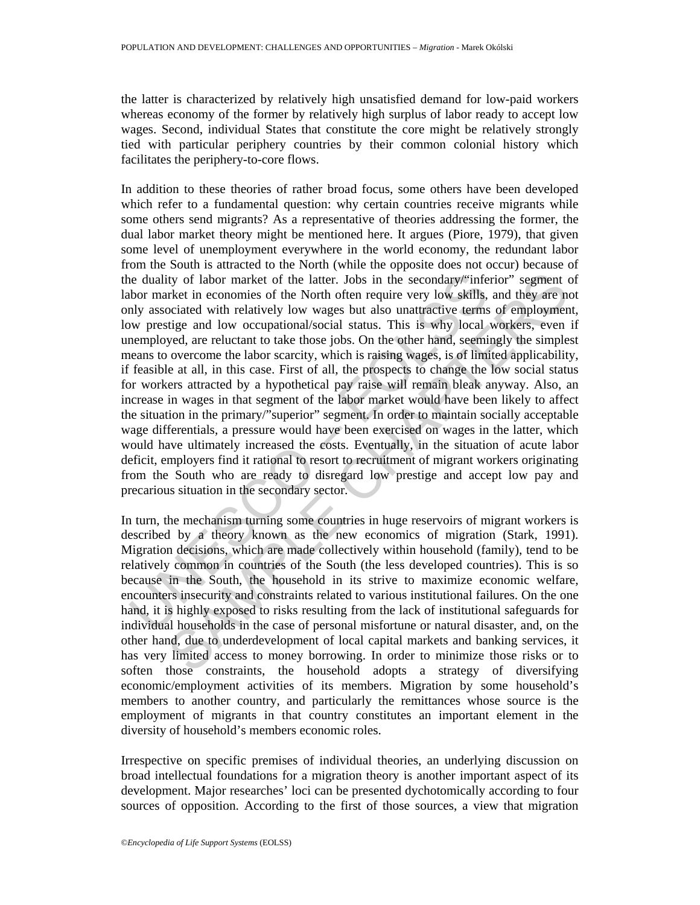the latter is characterized by relatively high unsatisfied demand for low-paid workers whereas economy of the former by relatively high surplus of labor ready to accept low wages. Second, individual States that constitute the core might be relatively strongly tied with particular periphery countries by their common colonial history which facilitates the periphery-to-core flows.

ie duality of labor market of the latter. Jobs in the secondary/\*infe<br>bor market in economies of the North often require very low skills,<br>nly associated with relatively low wages but also unatractive terms<br>wy prestige and ity of labor market of the latter. Jobs in the secondary,"inferior" segment chet a North of North of the North of the secondary, "inferior" segment cociated with relatively low wapse but also unattractive terms of employme In addition to these theories of rather broad focus, some others have been developed which refer to a fundamental question: why certain countries receive migrants while some others send migrants? As a representative of theories addressing the former, the dual labor market theory might be mentioned here. It argues (Piore, 1979), that given some level of unemployment everywhere in the world economy, the redundant labor from the South is attracted to the North (while the opposite does not occur) because of the duality of labor market of the latter. Jobs in the secondary/"inferior" segment of labor market in economies of the North often require very low skills, and they are not only associated with relatively low wages but also unattractive terms of employment, low prestige and low occupational/social status. This is why local workers, even if unemployed, are reluctant to take those jobs. On the other hand, seemingly the simplest means to overcome the labor scarcity, which is raising wages, is of limited applicability, if feasible at all, in this case. First of all, the prospects to change the low social status for workers attracted by a hypothetical pay raise will remain bleak anyway. Also, an increase in wages in that segment of the labor market would have been likely to affect the situation in the primary/"superior" segment. In order to maintain socially acceptable wage differentials, a pressure would have been exercised on wages in the latter, which would have ultimately increased the costs. Eventually, in the situation of acute labor deficit, employers find it rational to resort to recruitment of migrant workers originating from the South who are ready to disregard low prestige and accept low pay and precarious situation in the secondary sector.

In turn, the mechanism turning some countries in huge reservoirs of migrant workers is described by a theory known as the new economics of migration (Stark, 1991). Migration decisions, which are made collectively within household (family), tend to be relatively common in countries of the South (the less developed countries). This is so because in the South, the household in its strive to maximize economic welfare, encounters insecurity and constraints related to various institutional failures. On the one hand, it is highly exposed to risks resulting from the lack of institutional safeguards for individual households in the case of personal misfortune or natural disaster, and, on the other hand, due to underdevelopment of local capital markets and banking services, it has very limited access to money borrowing. In order to minimize those risks or to soften those constraints, the household adopts a strategy of diversifying economic/employment activities of its members. Migration by some household's members to another country, and particularly the remittances whose source is the employment of migrants in that country constitutes an important element in the diversity of household's members economic roles.

Irrespective on specific premises of individual theories, an underlying discussion on broad intellectual foundations for a migration theory is another important aspect of its development. Major researches' loci can be presented dychotomically according to four sources of opposition. According to the first of those sources, a view that migration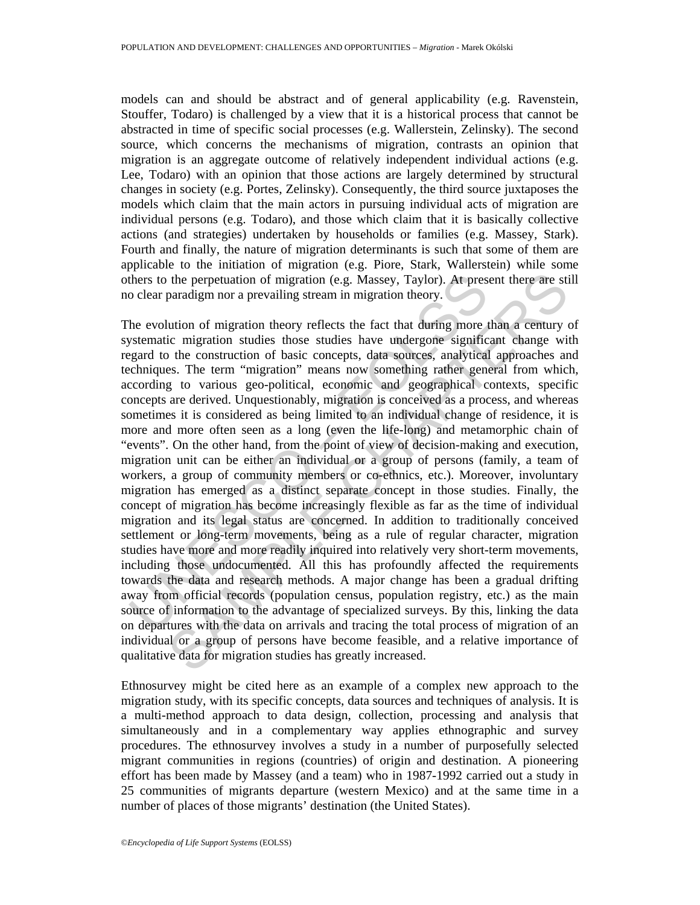models can and should be abstract and of general applicability (e.g. Ravenstein, Stouffer, Todaro) is challenged by a view that it is a historical process that cannot be abstracted in time of specific social processes (e.g. Wallerstein, Zelinsky). The second source, which concerns the mechanisms of migration, contrasts an opinion that migration is an aggregate outcome of relatively independent individual actions (e.g. Lee, Todaro) with an opinion that those actions are largely determined by structural changes in society (e.g. Portes, Zelinsky). Consequently, the third source juxtaposes the models which claim that the main actors in pursuing individual acts of migration are individual persons (e.g. Todaro), and those which claim that it is basically collective actions (and strategies) undertaken by households or families (e.g. Massey, Stark). Fourth and finally, the nature of migration determinants is such that some of them are applicable to the initiation of migration (e.g. Piore, Stark, Wallerstein) while some others to the perpetuation of migration (e.g. Massey, Taylor). At present there are still no clear paradigm nor a prevailing stream in migration theory.

thers to the perpetuation of migration (e.g. Massey, Taylor). At press<br>o clear paradigm nor a prevailing stream in migration theory.<br>he evolution of migration theory reflects the fact that during more tystematic migration the perpetuation of migration (e.g. Massey, Taylor). At present there are sti<br>paradigm nor a prevailing stream in migration theory.<br>
lution of migration theory reflects the fact that during more than a century c<br>
ic migrat The evolution of migration theory reflects the fact that during more than a century of systematic migration studies those studies have undergone significant change with regard to the construction of basic concepts, data sources, analytical approaches and techniques. The term "migration" means now something rather general from which, according to various geo-political, economic and geographical contexts, specific concepts are derived. Unquestionably, migration is conceived as a process, and whereas sometimes it is considered as being limited to an individual change of residence, it is more and more often seen as a long (even the life-long) and metamorphic chain of "events". On the other hand, from the point of view of decision-making and execution, migration unit can be either an individual or a group of persons (family, a team of workers, a group of community members or co-ethnics, etc.). Moreover, involuntary migration has emerged as a distinct separate concept in those studies. Finally, the concept of migration has become increasingly flexible as far as the time of individual migration and its legal status are concerned. In addition to traditionally conceived settlement or long-term movements, being as a rule of regular character, migration studies have more and more readily inquired into relatively very short-term movements, including those undocumented. All this has profoundly affected the requirements towards the data and research methods. A major change has been a gradual drifting away from official records (population census, population registry, etc.) as the main source of information to the advantage of specialized surveys. By this, linking the data on departures with the data on arrivals and tracing the total process of migration of an individual or a group of persons have become feasible, and a relative importance of qualitative data for migration studies has greatly increased.

Ethnosurvey might be cited here as an example of a complex new approach to the migration study, with its specific concepts, data sources and techniques of analysis. It is a multi-method approach to data design, collection, processing and analysis that simultaneously and in a complementary way applies ethnographic and survey procedures. The ethnosurvey involves a study in a number of purposefully selected migrant communities in regions (countries) of origin and destination. A pioneering effort has been made by Massey (and a team) who in 1987-1992 carried out a study in 25 communities of migrants departure (western Mexico) and at the same time in a number of places of those migrants' destination (the United States).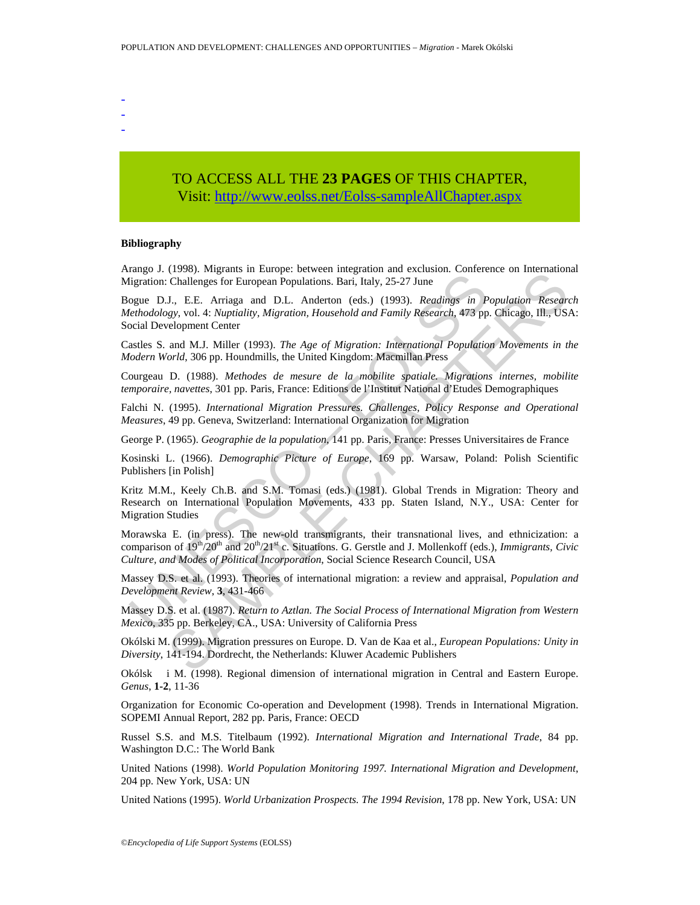- -
- -

# TO ACCESS ALL THE **23 PAGES** OF THIS CHAPTER, Visit[: http://www.eolss.net/Eolss-sampleAllChapter.aspx](https://www.eolss.net/ebooklib/sc_cart.aspx?File=E1-13-01-05)

#### **Bibliography**

Arango J. (1998). Migrants in Europe: between integration and exclusion. Conference on International Migration: Challenges for European Populations. Bari, Italy, 25-27 June

Bogue D.J., E.E. Arriaga and D.L. Anderton (eds.) (1993). *Readings in Population Research Methodology*, vol. 4: *Nuptiality, Migration, Household and Family Research*, 473 pp. Chicago, Ill., USA: Social Development Center

Castles S. and M.J. Miller (1993). *The Age of Migration: International Population Movements in the Modern World*, 306 pp. Houndmills, the United Kingdom: Macmillan Press

Courgeau D. (1988). *Methodes de mesure de la mobilite spatiale. Migrations internes, mobilite temporaire, navettes*, 301 pp. Paris, France: Editions de l'Institut National d'Etudes Demographiques

Falchi N. (1995). *International Migration Pressures. Challenges, Policy Response and Operational Measures*, 49 pp. Geneva, Switzerland: International Organization for Migration

George P. (1965). *Geographie de la population*, 141 pp. Paris, France: Presses Universitaires de France

Kosinski L. (1966). *Demographic Picture of Europe*, 169 pp. Warsaw, Poland: Polish Scientific Publishers [in Polish]

Ligration: Challenges for European Populations. Bari, Italy, 25-27 June<br>
ligration: Challenges for European Populations. Bari, Italy, 25-27 June<br>
ogue D.J., E.E. Arriaga and D.L. Anderton (eds.) (1993). *Readings in P*<br>
e (1996). Fugnalis in Lungit. Octoor integration and extension. Contective of international<br>Challenges for European Populations. Bari, Italy, 25-27 June<br>J., E.E. Arriaga and D.L. Anderton (eds.) (1993). *Readings in Populat* Kritz M.M., Keely Ch.B. and S.M. Tomasi (eds.) (1981). Global Trends in Migration: Theory and Research on International Population Movements, 433 pp. Staten Island, N.Y., USA: Center for Migration Studies

Morawska E. (in press). The new-old transmigrants, their transnational lives, and ethnicization: a comparison of  $19<sup>th</sup>/20<sup>th</sup>$  and  $20<sup>th</sup>/21<sup>st</sup>$  c. Situations. G. Gerstle and J. Mollenkoff (eds.), *Immigrants, Civic Culture, and Modes of Political Incorporation*, Social Science Research Council, USA

Massey D.S. et al. (1993). Theories of international migration: a review and appraisal, *Population and Development Review*, **3**, 431-466

Massey D.S. et al. (1987). *Return to Aztlan. The Social Process of International Migration from Western Mexico*, 335 pp. Berkeley, CA., USA: University of California Press

Okólski M. (1999). Migration pressures on Europe. D. Van de Kaa et al., *European Populations: Unity in Diversity*, 141-194. Dordrecht, the Netherlands: Kluwer Academic Publishers

Okólsk i M. (1998). Regional dimension of international migration in Central and Eastern Europe. *Genus*, **1-2**, 11-36

Organization for Economic Co-operation and Development (1998). Trends in International Migration. SOPEMI Annual Report, 282 pp. Paris, France: OECD

Russel S.S. and M.S. Titelbaum (1992). *International Migration and International Trade*, 84 pp. Washington D.C.: The World Bank

United Nations (1998). *World Population Monitoring 1997. International Migration and Development*, 204 pp. New York, USA: UN

United Nations (1995). *World Urbanization Prospects. The 1994 Revision*, 178 pp. New York, USA: UN